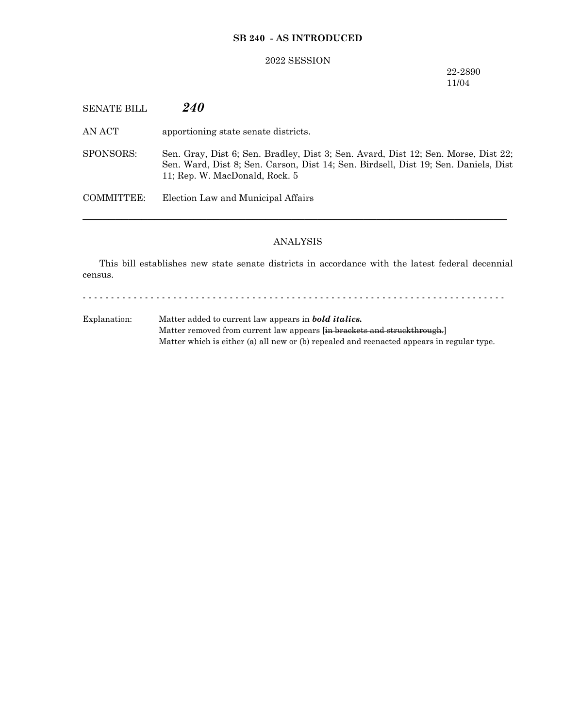## **SB 240 - AS INTRODUCED**

#### 2022 SESSION

22-2890 11/04

SENATE BILL *240*

AN ACT apportioning state senate districts.

SPONSORS: Sen. Gray, Dist 6; Sen. Bradley, Dist 3; Sen. Avard, Dist 12; Sen. Morse, Dist 22; Sen. Ward, Dist 8; Sen. Carson, Dist 14; Sen. Birdsell, Dist 19; Sen. Daniels, Dist 11; Rep. W. MacDonald, Rock. 5

COMMITTEE: Election Law and Municipal Affairs

### ANALYSIS

─────────────────────────────────────────────────────────────────

This bill establishes new state senate districts in accordance with the latest federal decennial census.

- - - - - - - - - - - - - - - - - - - - - - - - - - - - - - - - - - - - - - - - - - - - - - - - - - - - - - - - - - - - - - - - - - - - - - - - - - -

Explanation: Matter added to current law appears in *bold italics.* Matter removed from current law appears [in brackets and struckthrough.] Matter which is either (a) all new or (b) repealed and reenacted appears in regular type.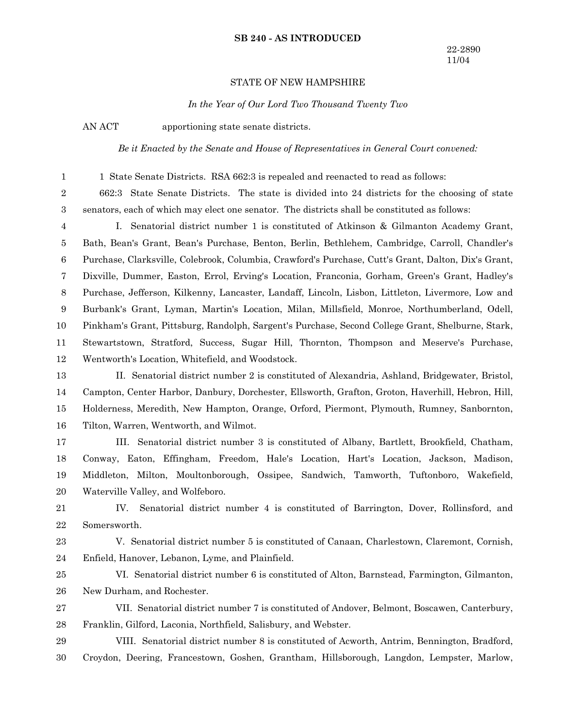#### **SB 240 - AS INTRODUCED**

## STATE OF NEW HAMPSHIRE

*In the Year of Our Lord Two Thousand Twenty Two*

1

AN ACT apportioning state senate districts.

*Be it Enacted by the Senate and House of Representatives in General Court convened:*

1 State Senate Districts. RSA 662:3 is repealed and reenacted to read as follows:

662:3 State Senate Districts. The state is divided into 24 districts for the choosing of state senators, each of which may elect one senator. The districts shall be constituted as follows: 2 3

I. Senatorial district number 1 is constituted of Atkinson & Gilmanton Academy Grant, Bath, Bean's Grant, Bean's Purchase, Benton, Berlin, Bethlehem, Cambridge, Carroll, Chandler's Purchase, Clarksville, Colebrook, Columbia, Crawford's Purchase, Cutt's Grant, Dalton, Dix's Grant, Dixville, Dummer, Easton, Errol, Erving's Location, Franconia, Gorham, Green's Grant, Hadley's Purchase, Jefferson, Kilkenny, Lancaster, Landaff, Lincoln, Lisbon, Littleton, Livermore, Low and Burbank's Grant, Lyman, Martin's Location, Milan, Millsfield, Monroe, Northumberland, Odell, Pinkham's Grant, Pittsburg, Randolph, Sargent's Purchase, Second College Grant, Shelburne, Stark, Stewartstown, Stratford, Success, Sugar Hill, Thornton, Thompson and Meserve's Purchase, Wentworth's Location, Whitefield, and Woodstock. 4 5 6 7 8 9 10 11 12

II. Senatorial district number 2 is constituted of Alexandria, Ashland, Bridgewater, Bristol, Campton, Center Harbor, Danbury, Dorchester, Ellsworth, Grafton, Groton, Haverhill, Hebron, Hill, Holderness, Meredith, New Hampton, Orange, Orford, Piermont, Plymouth, Rumney, Sanbornton, Tilton, Warren, Wentworth, and Wilmot. 13 14 15 16

III. Senatorial district number 3 is constituted of Albany, Bartlett, Brookfield, Chatham, Conway, Eaton, Effingham, Freedom, Hale's Location, Hart's Location, Jackson, Madison, Middleton, Milton, Moultonborough, Ossipee, Sandwich, Tamworth, Tuftonboro, Wakefield, Waterville Valley, and Wolfeboro. 17 18 19 20

IV. Senatorial district number 4 is constituted of Barrington, Dover, Rollinsford, and Somersworth. 21 22

V. Senatorial district number 5 is constituted of Canaan, Charlestown, Claremont, Cornish, Enfield, Hanover, Lebanon, Lyme, and Plainfield. 23 24

VI. Senatorial district number 6 is constituted of Alton, Barnstead, Farmington, Gilmanton, New Durham, and Rochester. 25 26

VII. Senatorial district number 7 is constituted of Andover, Belmont, Boscawen, Canterbury, Franklin, Gilford, Laconia, Northfield, Salisbury, and Webster. 27 28

VIII. Senatorial district number 8 is constituted of Acworth, Antrim, Bennington, Bradford, Croydon, Deering, Francestown, Goshen, Grantham, Hillsborough, Langdon, Lempster, Marlow, 29 30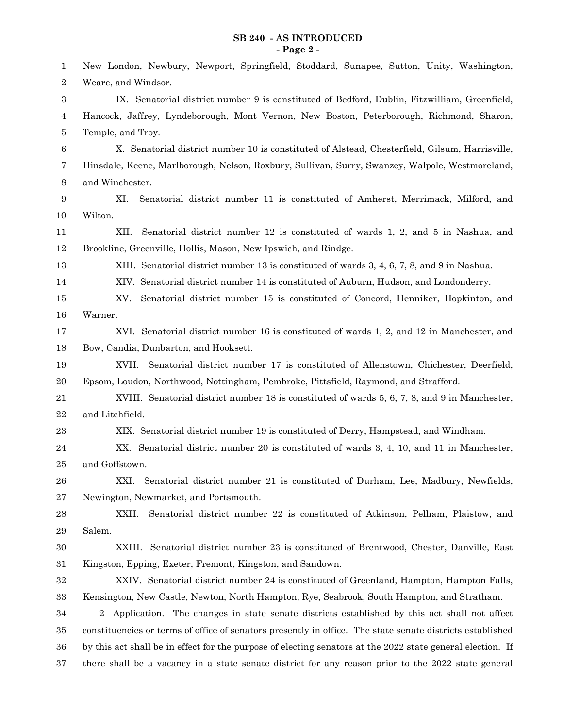## **SB 240 - AS INTRODUCED - Page 2 -**

| 1              | New London, Newbury, Newport, Springfield, Stoddard, Sunapee, Sutton, Unity, Washington,                   |
|----------------|------------------------------------------------------------------------------------------------------------|
| 2              | Weare, and Windsor.                                                                                        |
| 3              | IX. Senatorial district number 9 is constituted of Bedford, Dublin, Fitzwilliam, Greenfield,               |
| 4              | Hancock, Jaffrey, Lyndeborough, Mont Vernon, New Boston, Peterborough, Richmond, Sharon,                   |
| 5              | Temple, and Troy.                                                                                          |
| 6              | X. Senatorial district number 10 is constituted of Alstead, Chesterfield, Gilsum, Harrisville,             |
| 7              | Hinsdale, Keene, Marlborough, Nelson, Roxbury, Sullivan, Surry, Swanzey, Walpole, Westmoreland,            |
| $8\phantom{1}$ | and Winchester.                                                                                            |
| 9              | XI.<br>Senatorial district number 11 is constituted of Amherst, Merrimack, Milford, and                    |
| 10             | Wilton.                                                                                                    |
| 11             | XII.<br>Senatorial district number 12 is constituted of wards 1, 2, and 5 in Nashua, and                   |
| 12             | Brookline, Greenville, Hollis, Mason, New Ipswich, and Rindge.                                             |
| 13             | XIII. Senatorial district number 13 is constituted of wards 3, 4, 6, 7, 8, and 9 in Nashua.                |
| 14             | XIV. Senatorial district number 14 is constituted of Auburn, Hudson, and Londonderry.                      |
| 15             | Senatorial district number 15 is constituted of Concord, Henniker, Hopkinton, and<br>XV.                   |
| 16             | Warner.                                                                                                    |
| 17             | XVI. Senatorial district number 16 is constituted of wards 1, 2, and 12 in Manchester, and                 |
| 18             | Bow, Candia, Dunbarton, and Hooksett.                                                                      |
| 19             | Senatorial district number 17 is constituted of Allenstown, Chichester, Deerfield,<br>XVII.                |
| $20\,$         | Epsom, Loudon, Northwood, Nottingham, Pembroke, Pittsfield, Raymond, and Strafford.                        |
| 21             | XVIII. Senatorial district number 18 is constituted of wards 5, 6, 7, 8, and 9 in Manchester,              |
| 22             | and Litchfield.                                                                                            |
| 23             | XIX. Senatorial district number 19 is constituted of Derry, Hampstead, and Windham.                        |
| 24             | XX. Senatorial district number 20 is constituted of wards 3, 4, 10, and 11 in Manchester,                  |
| 25             | and Goffstown.                                                                                             |
| 26             | Senatorial district number 21 is constituted of Durham, Lee, Madbury, Newfields,<br>XXI.                   |
| 27             | Newington, Newmarket, and Portsmouth.                                                                      |
| 28             | Senatorial district number 22 is constituted of Atkinson, Pelham, Plaistow, and<br>XXII.                   |
| 29             | Salem.                                                                                                     |
| 30             | Senatorial district number 23 is constituted of Brentwood, Chester, Danville, East<br>XXIII.               |
| 31             | Kingston, Epping, Exeter, Fremont, Kingston, and Sandown.                                                  |
| 32             | XXIV. Senatorial district number 24 is constituted of Greenland, Hampton, Hampton Falls,                   |
| $33\,$         | Kensington, New Castle, Newton, North Hampton, Rye, Seabrook, South Hampton, and Stratham.                 |
| 34             | 2 Application. The changes in state senate districts established by this act shall not affect              |
| $35\,$         | constituencies or terms of office of senators presently in office. The state senate districts established  |
| 36             | by this act shall be in effect for the purpose of electing senators at the 2022 state general election. If |
| 37             | there shall be a vacancy in a state senate district for any reason prior to the 2022 state general         |